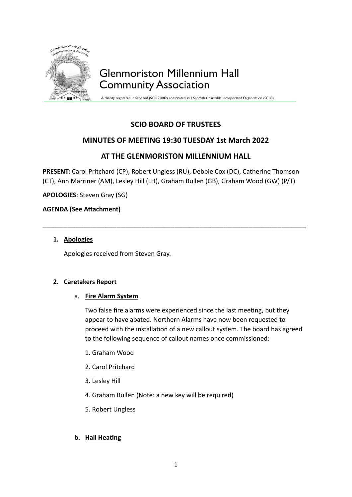

A charity registered in Scotland (SCO51089) constituted as a Scottish Charitable Incorporated Organisation (SCIO)

## **SCIO BOARD OF TRUSTEES**

### **MINUTES OF MEETING 19:30 TUESDAY 1st March 2022**

## **AT THE GLENMORISTON MILLENNIUM HALL**

**PRESENT:** Carol Pritchard (CP), Robert Ungless (RU), Debbie Cox (DC), Catherine Thomson (CT), Ann Marriner (AM), Lesley Hill (LH), Graham Bullen (GB), Graham Wood (GW) (P/T)

\_\_\_\_\_\_\_\_\_\_\_\_\_\_\_\_\_\_\_\_\_\_\_\_\_\_\_\_\_\_\_\_\_\_\_\_\_\_\_\_\_\_\_\_\_\_\_\_\_\_\_\_\_\_\_\_\_\_\_\_\_\_\_\_

**APOLOGIES**: Steven Gray (SG)

#### **AGENDA (See Attachment)**

#### **1. Apologies**

Apologies received from Steven Gray.

#### **2. Caretakers Report**

#### a. **Fire Alarm System**

Two false fire alarms were experienced since the last meeting, but they appear to have abated. Northern Alarms have now been requested to proceed with the installation of a new callout system. The board has agreed to the following sequence of callout names once commissioned:

- 1. Graham Wood
- 2. Carol Pritchard
- 3. Lesley Hill
- 4. Graham Bullen (Note: a new key will be required)
- 5. Robert Ungless

#### **b. Hall Heating**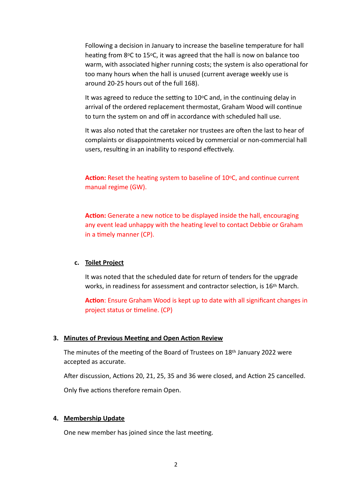Following a decision in January to increase the baseline temperature for hall heating from 8°C to 15°C, it was agreed that the hall is now on balance too warm, with associated higher running costs; the system is also operational for too many hours when the hall is unused (current average weekly use is around 20-25 hours out of the full 168).

It was agreed to reduce the setting to  $10^{\circ}$ C and, in the continuing delay in arrival of the ordered replacement thermostat, Graham Wood will continue to turn the system on and off in accordance with scheduled hall use.

It was also noted that the caretaker nor trustees are often the last to hear of complaints or disappointments voiced by commercial or non-commercial hall users, resulting in an inability to respond effectively.

Action: Reset the heating system to baseline of 10°C, and continue current manual regime (GW).

**Action:** Generate a new notice to be displayed inside the hall, encouraging any event lead unhappy with the heating level to contact Debbie or Graham in a timely manner (CP).

#### **c. Toilet Project**

It was noted that the scheduled date for return of tenders for the upgrade works, in readiness for assessment and contractor selection, is 16th March.

**Action**: Ensure Graham Wood is kept up to date with all significant changes in project status or timeline. (CP)

#### **3. Minutes of Previous Meeting and Open Action Review**

The minutes of the meeting of the Board of Trustees on 18th January 2022 were accepted as accurate.

After discussion, Actions 20, 21, 25, 35 and 36 were closed, and Action 25 cancelled.

Only five actions therefore remain Open.

#### **4. Membership Update**

One new member has joined since the last meeting.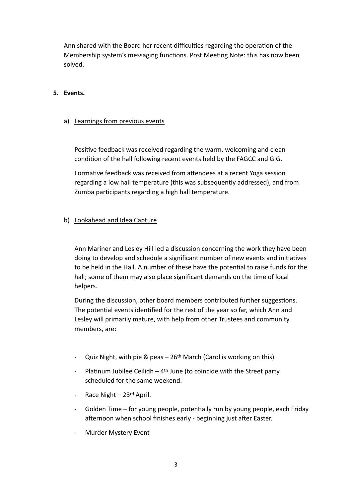Ann shared with the Board her recent difficulties regarding the operation of the Membership system's messaging functions. Post Meeting Note: this has now been solved.

#### **5. Events.**

#### a) Learnings from previous events

Positive feedback was received regarding the warm, welcoming and clean condition of the hall following recent events held by the FAGCC and GIG.

Formative feedback was received from attendees at a recent Yoga session regarding a low hall temperature (this was subsequently addressed), and from Zumba participants regarding a high hall temperature.

#### b) Lookahead and Idea Capture

Ann Mariner and Lesley Hill led a discussion concerning the work they have been doing to develop and schedule a significant number of new events and initiatives to be held in the Hall. A number of these have the potential to raise funds for the hall; some of them may also place significant demands on the time of local helpers.

During the discussion, other board members contributed further suggestions. The potential events identified for the rest of the year so far, which Ann and Lesley will primarily mature, with help from other Trustees and community members, are:

- Quiz Night, with pie & peas  $-26$ <sup>th</sup> March (Carol is working on this)
- Platinum Jubilee Ceilidh  $4<sup>th</sup>$  June (to coincide with the Street party scheduled for the same weekend.
- Race Night 23rd April.
- Golden Time for young people, potentially run by young people, each Friday afternoon when school finishes early - beginning just after Easter.
- Murder Mystery Event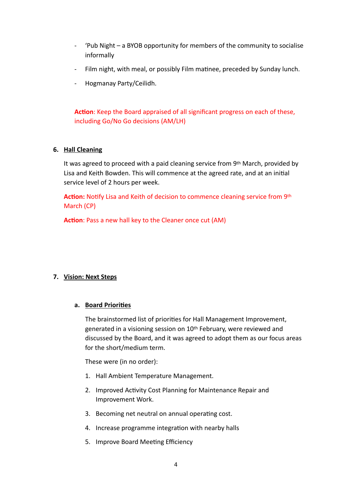- 'Pub Night a BYOB opportunity for members of the community to socialise informally
- Film night, with meal, or possibly Film matinee, preceded by Sunday lunch.
- Hogmanay Party/Ceilidh.

**Action**: Keep the Board appraised of all significant progress on each of these, including Go/No Go decisions (AM/LH)

#### **6. Hall Cleaning**

It was agreed to proceed with a paid cleaning service from 9th March, provided by Lisa and Keith Bowden. This will commence at the agreed rate, and at an initial service level of 2 hours per week.

**Action:** Notify Lisa and Keith of decision to commence cleaning service from 9th March (CP)

**Action**: Pass a new hall key to the Cleaner once cut (AM)

#### **7. Vision: Next Steps**

#### **a. Board Priorities**

The brainstormed list of priorities for Hall Management Improvement, generated in a visioning session on 10th February, were reviewed and discussed by the Board, and it was agreed to adopt them as our focus areas for the short/medium term.

These were (in no order):

- 1. Hall Ambient Temperature Management.
- 2. Improved Activity Cost Planning for Maintenance Repair and Improvement Work.
- 3. Becoming net neutral on annual operating cost.
- 4. Increase programme integration with nearby halls
- 5. Improve Board Meeting Efficiency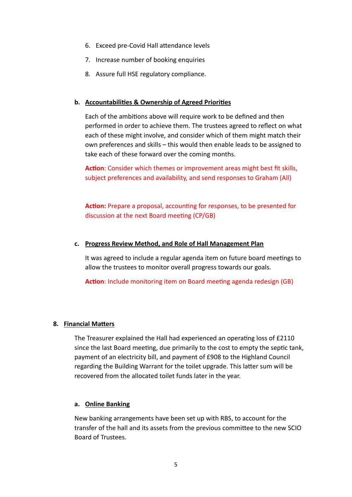- 6. Exceed pre-Covid Hall attendance levels
- 7. Increase number of booking enquiries
- 8. Assure full HSE regulatory compliance.

#### **b. Accountabilities & Ownership of Agreed Priorities**

Each of the ambitions above will require work to be defined and then performed in order to achieve them. The trustees agreed to reflect on what each of these might involve, and consider which of them might match their own preferences and skills – this would then enable leads to be assigned to take each of these forward over the coming months.

**Action**: Consider which themes or improvement areas might best fit skills, subject preferences and availability, and send responses to Graham (All)

**Action:** Prepare a proposal, accounting for responses, to be presented for discussion at the next Board meeting (CP/GB)

#### **c. Progress Review Method, and Role of Hall Management Plan**

It was agreed to include a regular agenda item on future board meetings to allow the trustees to monitor overall progress towards our goals.

**Action**: Include monitoring item on Board meeting agenda redesign (GB)

#### **8. Financial Matters**

The Treasurer explained the Hall had experienced an operating loss of £2110 since the last Board meeting, due primarily to the cost to empty the septic tank, payment of an electricity bill, and payment of £908 to the Highland Council regarding the Building Warrant for the toilet upgrade. This latter sum will be recovered from the allocated toilet funds later in the year.

#### **a. Online Banking**

New banking arrangements have been set up with RBS, to account for the transfer of the hall and its assets from the previous committee to the new SCIO Board of Trustees.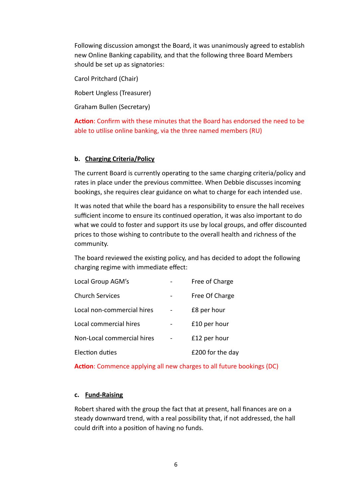Following discussion amongst the Board, it was unanimously agreed to establish new Online Banking capability, and that the following three Board Members should be set up as signatories:

Carol Pritchard (Chair)

Robert Ungless (Treasurer)

Graham Bullen (Secretary)

**Action**: Confirm with these minutes that the Board has endorsed the need to be able to utilise online banking, via the three named members (RU)

#### **b. Charging Criteria/Policy**

The current Board is currently operating to the same charging criteria/policy and rates in place under the previous committee. When Debbie discusses incoming bookings, she requires clear guidance on what to charge for each intended use.

It was noted that while the board has a responsibility to ensure the hall receives sufficient income to ensure its continued operation, it was also important to do what we could to foster and support its use by local groups, and offer discounted prices to those wishing to contribute to the overall health and richness of the community.

The board reviewed the existing policy, and has decided to adopt the following charging regime with immediate effect:

| Local Group AGM's          | Free of Charge   |
|----------------------------|------------------|
| <b>Church Services</b>     | Free Of Charge   |
| Local non-commercial hires | £8 per hour      |
| Local commercial hires     | £10 per hour     |
| Non-Local commercial hires | £12 per hour     |
| Election duties            | £200 for the day |

**Action**: Commence applying all new charges to all future bookings (DC)

#### **c. Fund-Raising**

Robert shared with the group the fact that at present, hall finances are on a steady downward trend, with a real possibility that, if not addressed, the hall could drift into a position of having no funds.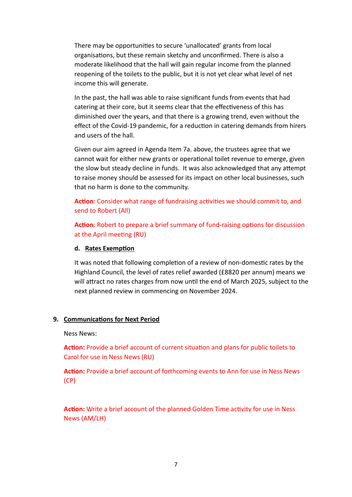There may be opportunities to secure 'unallocated' grants from local organisations, but these remain sketchy and unconfirmed. There is also a moderate likelihood that the hall will gain regular income from the planned reopening of the toilets to the public, but it is not yet clear what level of net income this will generate.

In the past, the hall was able to raise significant funds from events that had catering at their core, but it seems clear that the effectiveness of this has diminished over the years, and that there is a growing trend, even without the effect of the Covid-19 pandemic, for a reduction in catering demands from hirers and users of the hall.

Given our aim agreed in Agenda Item 7a. above, the trustees agree that we cannot wait for either new grants or operational toilet revenue to emerge, given the slow but steady decline in funds. It was also acknowledged that any attempt to raise money should be assessed for its impact on other local businesses, such that no harm is done to the community.

**Action**: Consider what range of fundraising activities we should commit to, and send to Robert (All)

**Action**: Robert to prepare a brief summary of fund-raising options for discussion at the April meeting (RU)

#### **d. Rates Exemption**

It was noted that following completion of a review of non-domestic rates by the Highland Council, the level of rates relief awarded (£8820 per annum) means we will attract no rates charges from now until the end of March 2025, subject to the next planned review in commencing on November 2024.

#### **9. Communications for Next Period**

Ness News:

**Action:** Provide a brief account of current situation and plans for public toilets to Carol for use in Ness News (RU)

**Action:** Provide a brief account of forthcoming events to Ann for use in Ness News (CP)

**Action:** Write a brief account of the planned Golden Time activity for use in Ness News (AM/LH)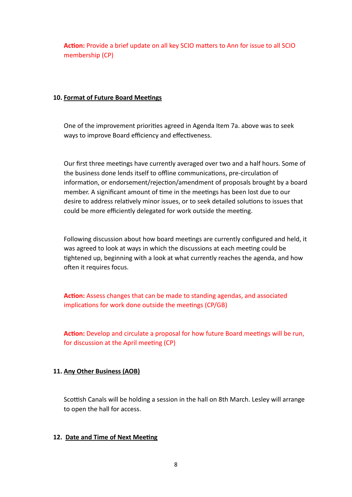**Action:** Provide a brief update on all key SCIO matters to Ann for issue to all SCIO membership (CP)

#### **10. Format of Future Board Meetings**

One of the improvement priorities agreed in Agenda Item 7a. above was to seek ways to improve Board efficiency and effectiveness.

Our first three meetings have currently averaged over two and a half hours. Some of the business done lends itself to offline communications, pre-circulation of information, or endorsement/rejection/amendment of proposals brought by a board member. A significant amount of time in the meetings has been lost due to our desire to address relatively minor issues, or to seek detailed solutions to issues that could be more efficiently delegated for work outside the meeting.

Following discussion about how board meetings are currently configured and held, it was agreed to look at ways in which the discussions at each meeting could be tightened up, beginning with a look at what currently reaches the agenda, and how often it requires focus.

**Action:** Assess changes that can be made to standing agendas, and associated implications for work done outside the meetings (CP/GB)

**Action:** Develop and circulate a proposal for how future Board meetings will be run, for discussion at the April meeting (CP)

#### **11. Any Other Business (AOB)**

Scottish Canals will be holding a session in the hall on 8th March. Lesley will arrange to open the hall for access.

#### **12. Date and Time of Next Meeting**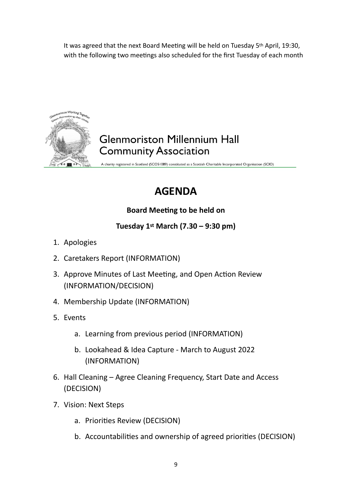It was agreed that the next Board Meeting will be held on Tuesday 5th April, 19:30, with the following two meetings also scheduled for the first Tuesday of each month



## **Glenmoriston Millennium Hall Community Association**

A charity registered in Scotland (SCO51089) constituted as a Scottish Charitable Incorporated Organisation (SCIO)

# **AGENDA**

## **Board Meeting to be held on**

## **Tuesday 1st March (7.30 – 9:30 pm)**

- 1. Apologies
- 2. Caretakers Report (INFORMATION)
- 3. Approve Minutes of Last Meeting, and Open Action Review (INFORMATION/DECISION)
- 4. Membership Update (INFORMATION)
- 5. Events
	- a. Learning from previous period (INFORMATION)
	- b. Lookahead & Idea Capture March to August 2022 (INFORMATION)
- 6. Hall Cleaning Agree Cleaning Frequency, Start Date and Access (DECISION)
- 7. Vision: Next Steps
	- a. Priorities Review (DECISION)
	- b. Accountabilities and ownership of agreed priorities (DECISION)